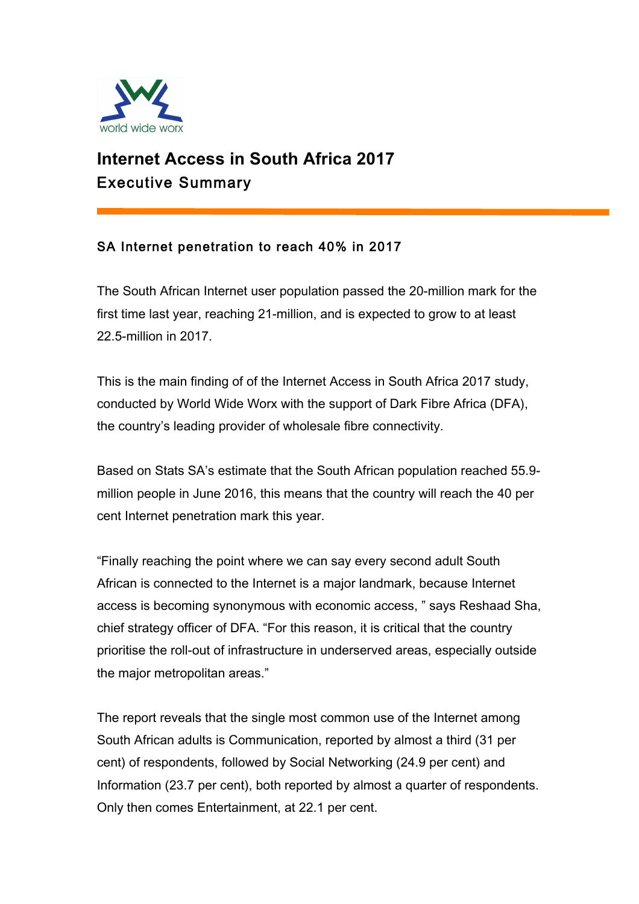

# **Internet Access in South Africa 2017** Executive Summary

## SA Internet penetration to reach 40% in 2017

The South African Internet user population passed the 20-million mark for the first time last year, reaching 21-million, and is expected to grow to at least 22.5-million in 2017.

This is the main finding of of the Internet Access in South Africa 2017 study, conducted by World Wide Worx with the support of Dark Fibre Africa (DFA), the country's leading provider of wholesale fibre connectivity.

Based on Stats SA's estimate that the South African population reached 55.9 million people in June 2016, this means that the country will reach the 40 per cent Internet penetration mark this year.

"Finally reaching the point where we can say every second adult South African is connected to the Internet is a major landmark, because Internet access is becoming synonymous with economic access, " says Reshaad Sha, chief strategy officer of DFA. "For this reason, it is critical that the country prioritise the roll-out of infrastructure in underserved areas, especially outside the major metropolitan areas."

The report reveals that the single most common use of the Internet among South African adults is Communication, reported by almost a third (31 per cent) of respondents, followed by Social Networking (24.9 per cent) and Information (23.7 per cent), both reported by almost a quarter of respondents. Only then comes Entertainment, at 22.1 per cent.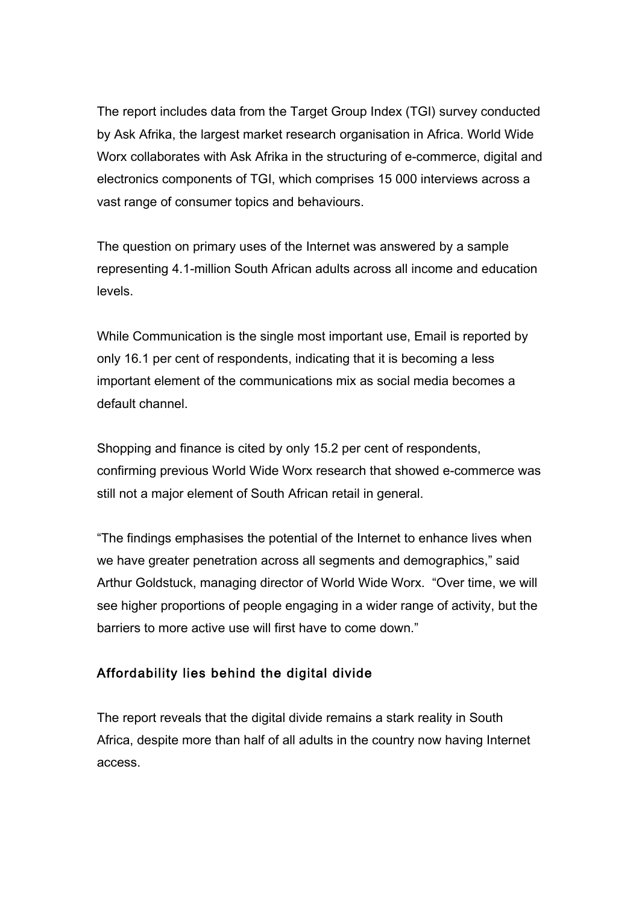The report includes data from the Target Group Index (TGI) survey conducted by Ask Afrika, the largest market research organisation in Africa. World Wide Worx collaborates with Ask Afrika in the structuring of e-commerce, digital and electronics components of TGI, which comprises 15 000 interviews across a vast range of consumer topics and behaviours.

The question on primary uses of the Internet was answered by a sample representing 4.1-million South African adults across all income and education levels.

While Communication is the single most important use, Email is reported by only 16.1 per cent of respondents, indicating that it is becoming a less important element of the communications mix as social media becomes a default channel.

Shopping and finance is cited by only 15.2 per cent of respondents, confirming previous World Wide Worx research that showed e-commerce was still not a major element of South African retail in general.

"The findings emphasises the potential of the Internet to enhance lives when we have greater penetration across all segments and demographics," said Arthur Goldstuck, managing director of World Wide Worx. "Over time, we will see higher proportions of people engaging in a wider range of activity, but the barriers to more active use will first have to come down."

### Affordability lies behind the digital divide

The report reveals that the digital divide remains a stark reality in South Africa, despite more than half of all adults in the country now having Internet access.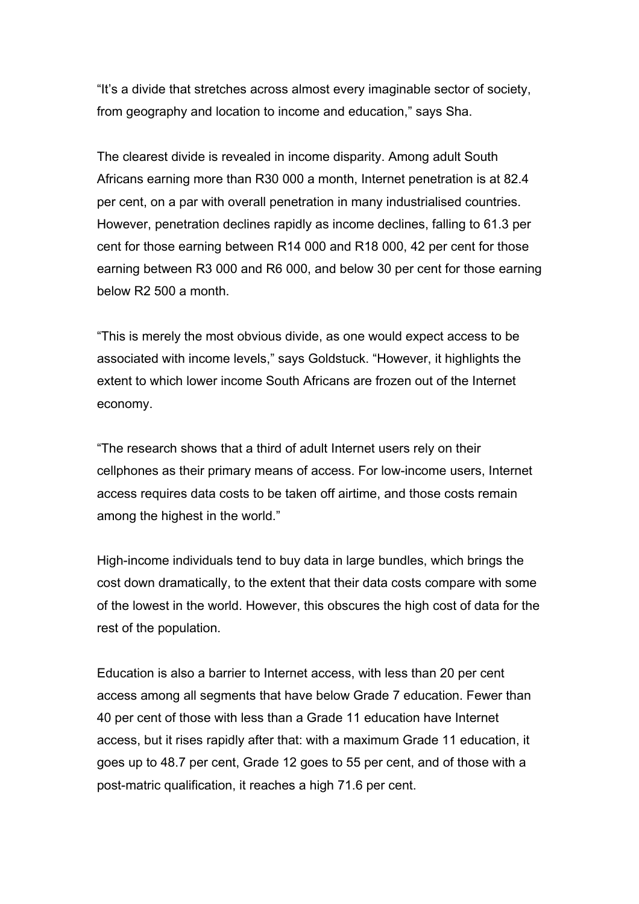"It's a divide that stretches across almost every imaginable sector of society, from geography and location to income and education," says Sha.

The clearest divide is revealed in income disparity. Among adult South Africans earning more than R30 000 a month, Internet penetration is at 82.4 per cent, on a par with overall penetration in many industrialised countries. However, penetration declines rapidly as income declines, falling to 61.3 per cent for those earning between R14 000 and R18 000, 42 per cent for those earning between R3 000 and R6 000, and below 30 per cent for those earning below R2 500 a month.

"This is merely the most obvious divide, as one would expect access to be associated with income levels," says Goldstuck. "However, it highlights the extent to which lower income South Africans are frozen out of the Internet economy.

"The research shows that a third of adult Internet users rely on their cellphones as their primary means of access. For low-income users, Internet access requires data costs to be taken off airtime, and those costs remain among the highest in the world."

High-income individuals tend to buy data in large bundles, which brings the cost down dramatically, to the extent that their data costs compare with some of the lowest in the world. However, this obscures the high cost of data for the rest of the population.

Education is also a barrier to Internet access, with less than 20 per cent access among all segments that have below Grade 7 education. Fewer than 40 per cent of those with less than a Grade 11 education have Internet access, but it rises rapidly after that: with a maximum Grade 11 education, it goes up to 48.7 per cent, Grade 12 goes to 55 per cent, and of those with a post-matric qualification, it reaches a high 71.6 per cent.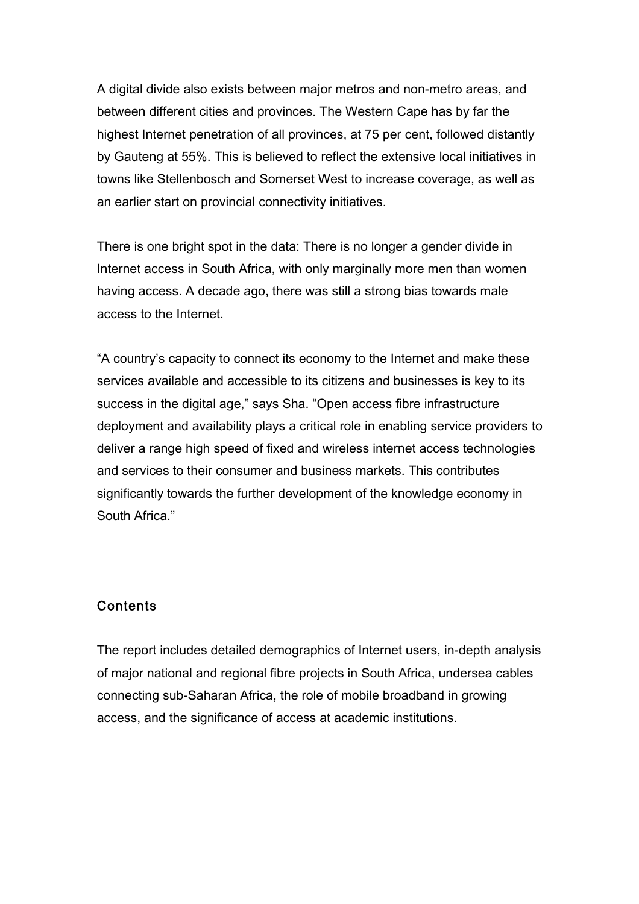A digital divide also exists between major metros and non-metro areas, and between different cities and provinces. The Western Cape has by far the highest Internet penetration of all provinces, at 75 per cent, followed distantly by Gauteng at 55%. This is believed to reflect the extensive local initiatives in towns like Stellenbosch and Somerset West to increase coverage, as well as an earlier start on provincial connectivity initiatives.

There is one bright spot in the data: There is no longer a gender divide in Internet access in South Africa, with only marginally more men than women having access. A decade ago, there was still a strong bias towards male access to the Internet.

"A country's capacity to connect its economy to the Internet and make these services available and accessible to its citizens and businesses is key to its success in the digital age," says Sha. "Open access fibre infrastructure deployment and availability plays a critical role in enabling service providers to deliver a range high speed of fixed and wireless internet access technologies and services to their consumer and business markets. This contributes significantly towards the further development of the knowledge economy in South Africa."

#### Contents

The report includes detailed demographics of Internet users, in-depth analysis of major national and regional fibre projects in South Africa, undersea cables connecting sub-Saharan Africa, the role of mobile broadband in growing access, and the significance of access at academic institutions.